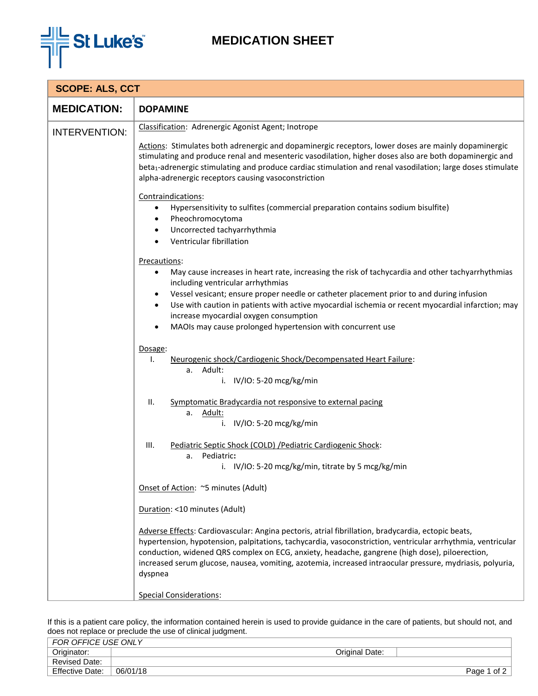

## **MEDICATION SHEET**

| <b>SCOPE: ALS, CCT</b> |                                                                                                                                                                                                                                                                                                                                                                                                                                                                                                                                                                                                                                                                                                                                                                                                                                                                                                                                                                                                                                                                                                                                                                                                                                                                                                                                                                                                           |  |  |
|------------------------|-----------------------------------------------------------------------------------------------------------------------------------------------------------------------------------------------------------------------------------------------------------------------------------------------------------------------------------------------------------------------------------------------------------------------------------------------------------------------------------------------------------------------------------------------------------------------------------------------------------------------------------------------------------------------------------------------------------------------------------------------------------------------------------------------------------------------------------------------------------------------------------------------------------------------------------------------------------------------------------------------------------------------------------------------------------------------------------------------------------------------------------------------------------------------------------------------------------------------------------------------------------------------------------------------------------------------------------------------------------------------------------------------------------|--|--|
| <b>MEDICATION:</b>     | <b>DOPAMINE</b>                                                                                                                                                                                                                                                                                                                                                                                                                                                                                                                                                                                                                                                                                                                                                                                                                                                                                                                                                                                                                                                                                                                                                                                                                                                                                                                                                                                           |  |  |
| <b>INTERVENTION:</b>   | Classification: Adrenergic Agonist Agent; Inotrope                                                                                                                                                                                                                                                                                                                                                                                                                                                                                                                                                                                                                                                                                                                                                                                                                                                                                                                                                                                                                                                                                                                                                                                                                                                                                                                                                        |  |  |
|                        | Actions: Stimulates both adrenergic and dopaminergic receptors, lower doses are mainly dopaminergic<br>stimulating and produce renal and mesenteric vasodilation, higher doses also are both dopaminergic and<br>beta1-adrenergic stimulating and produce cardiac stimulation and renal vasodilation; large doses stimulate<br>alpha-adrenergic receptors causing vasoconstriction                                                                                                                                                                                                                                                                                                                                                                                                                                                                                                                                                                                                                                                                                                                                                                                                                                                                                                                                                                                                                        |  |  |
|                        | Contraindications:<br>Hypersensitivity to sulfites (commercial preparation contains sodium bisulfite)<br>٠<br>Pheochromocytoma<br>٠<br>Uncorrected tachyarrhythmia<br>٠<br>Ventricular fibrillation                                                                                                                                                                                                                                                                                                                                                                                                                                                                                                                                                                                                                                                                                                                                                                                                                                                                                                                                                                                                                                                                                                                                                                                                       |  |  |
|                        | Precautions:<br>May cause increases in heart rate, increasing the risk of tachycardia and other tachyarrhythmias<br>٠<br>including ventricular arrhythmias<br>Vessel vesicant; ensure proper needle or catheter placement prior to and during infusion<br>٠<br>Use with caution in patients with active myocardial ischemia or recent myocardial infarction; may<br>$\bullet$<br>increase myocardial oxygen consumption<br>MAOIs may cause prolonged hypertension with concurrent use<br>Dosage:<br>Neurogenic shock/Cardiogenic Shock/Decompensated Heart Failure:<br>I.<br>a. Adult:<br>i. IV/IO: 5-20 mcg/kg/min<br>Ⅱ.<br>Symptomatic Bradycardia not responsive to external pacing<br>a. Adult:<br>i. IV/IO: 5-20 mcg/kg/min<br>Pediatric Septic Shock (COLD) / Pediatric Cardiogenic Shock:<br>III.<br>Pediatric:<br>a.<br>i. IV/IO: 5-20 mcg/kg/min, titrate by 5 mcg/kg/min<br>Onset of Action: ~5 minutes (Adult)<br>Duration: <10 minutes (Adult)<br>Adverse Effects: Cardiovascular: Angina pectoris, atrial fibrillation, bradycardia, ectopic beats,<br>hypertension, hypotension, palpitations, tachycardia, vasoconstriction, ventricular arrhythmia, ventricular<br>conduction, widened QRS complex on ECG, anxiety, headache, gangrene (high dose), piloerection,<br>increased serum glucose, nausea, vomiting, azotemia, increased intraocular pressure, mydriasis, polyuria,<br>dyspnea |  |  |
|                        | Special Considerations:                                                                                                                                                                                                                                                                                                                                                                                                                                                                                                                                                                                                                                                                                                                                                                                                                                                                                                                                                                                                                                                                                                                                                                                                                                                                                                                                                                                   |  |  |

If this is a patient care policy, the information contained herein is used to provide guidance in the care of patients, but should not, and does not replace or preclude the use of clinical judgment.

| FOR OFFICE USE ONLY    |          |                |                |
|------------------------|----------|----------------|----------------|
| Originator:            |          | Original Date: |                |
| <b>Revised Date:</b>   |          |                |                |
| <b>Effective Date:</b> | 06/01/18 |                | of 2<br>Page 1 |
|                        |          |                |                |